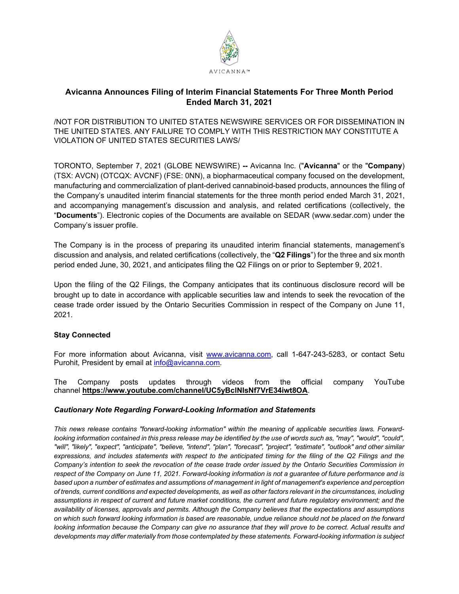

## **Avicanna Announces Filing of Interim Financial Statements For Three Month Period Ended March 31, 2021**

/NOT FOR DISTRIBUTION TO UNITED STATES NEWSWIRE SERVICES OR FOR DISSEMINATION IN THE UNITED STATES. ANY FAILURE TO COMPLY WITH THIS RESTRICTION MAY CONSTITUTE A VIOLATION OF UNITED STATES SECURITIES LAWS/

TORONTO, September 7, 2021 (GLOBE NEWSWIRE) **--** Avicanna Inc. ("**Avicanna**" or the "**Company**) (TSX: AVCN) (OTCQX: AVCNF) (FSE: 0NN), a biopharmaceutical company focused on the development, manufacturing and commercialization of plant-derived cannabinoid-based products, announces the filing of the Company's unaudited interim financial statements for the three month period ended March 31, 2021, and accompanying management's discussion and analysis, and related certifications (collectively, the "**Documents**"). Electronic copies of the Documents are available on SEDAR (www.sedar.com) under the Company's issuer profile.

The Company is in the process of preparing its unaudited interim financial statements, management's discussion and analysis, and related certifications (collectively, the "**Q2 Filings**") for the three and six month period ended June, 30, 2021, and anticipates filing the Q2 Filings on or prior to September 9, 2021.

Upon the filing of the Q2 Filings, the Company anticipates that its continuous disclosure record will be brought up to date in accordance with applicable securities law and intends to seek the revocation of the cease trade order issued by the Ontario Securities Commission in respect of the Company on June 11, 2021.

## **Stay Connected**

For more information about Avicanna, visit [www.avicanna.com,](http://www.avicanna.com/) call 1-647-243-5283, or contact Setu Purohit, President by email at [info@avicanna.com.](mailto:info@avicanna.com)

The Company posts updates through videos from the official company YouTube channel **[https://www.youtube.com/channel/UC5yBclNIsNf7VrE34iwt8OA](https://www.globenewswire.com/Tracker?data=Yc3ZROMyC7QpAY2_KXLCl2Rec6EZZXWfb9_EvDgjLIDN27Jkx10sicNV_dugNWMgLftrCb6wrsgWkK8OAEgXNuX_zhu4duEMDe7bw02Cu7iZOHH5e3oXvisxdofSRHuGYFLhQGT3CfOQLB4QDagBho3ogO-xLj2R6sDuxHTpBXYRSGJhYv7z8EeHge_VzRGw)**.

## *Cautionary Note Regarding Forward-Looking Information and Statements*

*This news release contains "forward-looking information" within the meaning of applicable securities laws. Forward*looking information contained in this press release may be identified by the use of words such as, "may", "would", "could", *"will", "likely", "expect", "anticipate", "believe, "intend", "plan", "forecast", "project", "estimate", "outlook" and other similar expressions, and includes statements with respect to the anticipated timing for the filing of the Q2 Filings and the Company's intention to seek the revocation of the cease trade order issued by the Ontario Securities Commission in respect of the Company on June 11, 2021. Forward-looking information is not a guarantee of future performance and is based upon a number of estimates and assumptions of management in light of management's experience and perception of trends, current conditions and expected developments, as well as other factors relevant in the circumstances, including assumptions in respect of current and future market conditions, the current and future regulatory environment; and the availability of licenses, approvals and permits. Although the Company believes that the expectations and assumptions on which such forward looking information is based are reasonable, undue reliance should not be placed on the forward*  looking information because the Company can give no assurance that they will prove to be correct. Actual results and *developments may differ materially from those contemplated by these statements. Forward-looking information is subject*